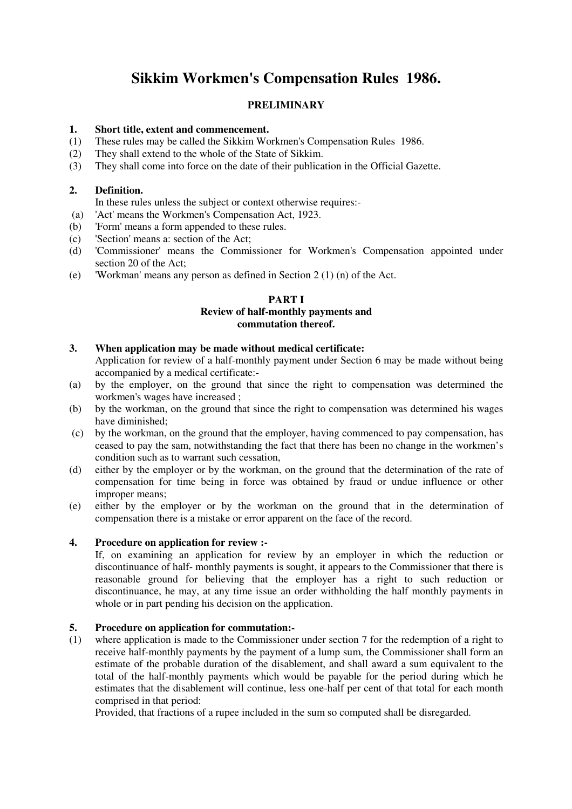# **Sikkim Workmen's Compensation Rules 1986.**

## **PRELIMINARY**

# **1.** Short title, extent and commencement.<br>(1) These rules may be called the Sikkim Wo

- These rules may be called the Sikkim Workmen's Compensation Rules 1986.
- (2) They shall extend to the whole of the State of Sikkim.
- (3) They shall come into force on the date of their publication in the Official Gazette.

## **2. Definition.**

- In these rules unless the subject or context otherwise requires:-
- (a) 'Act' means the Workmen's Compensation Act, 1923.
- (b) 'Form' means a form appended to these rules.
- (c) 'Section' means a: section of the Act;
- (d) 'Commissioner' means the Commissioner for Workmen's Compensation appointed under section 20 of the Act;
- (e) 'Workman' means any person as defined in Section 2 (1) (n) of the Act.

## **PART I Review of half-monthly payments and commutation thereof.**

## **3. When application may be made without medical certificate:**

 Application for review of a half-monthly payment under Section 6 may be made without being accompanied by a medical certificate:-

- (a) by the employer, on the ground that since the right to compensation was determined the workmen's wages have increased ;
- (b) by the workman, on the ground that since the right to compensation was determined his wages have diminished;
- (c) by the workman, on the ground that the employer, having commenced to pay compensation, has ceased to pay the sam, notwithstanding the fact that there has been no change in the workmen's condition such as to warrant such cessation,
- (d) either by the employer or by the workman, on the ground that the determination of the rate of compensation for time being in force was obtained by fraud or undue influence or other improper means;
- (e) either by the employer or by the workman on the ground that in the determination of compensation there is a mistake or error apparent on the face of the record.

## **4. Procedure on application for review :-**

 If, on examining an application for review by an employer in which the reduction or discontinuance of half- monthly payments is sought, it appears to the Commissioner that there is reasonable ground for believing that the employer has a right to such reduction or discontinuance, he may, at any time issue an order withholding the half monthly payments in whole or in part pending his decision on the application.

## **5. Procedure on application for commutation:-**

(1) where application is made to the Commissioner under section 7 for the redemption of a right to receive half-monthly payments by the payment of a lump sum, the Commissioner shall form an estimate of the probable duration of the disablement, and shall award a sum equivalent to the total of the half-monthly payments which would be payable for the period during which he estimates that the disablement will continue, less one-half per cent of that total for each month comprised in that period:

Provided, that fractions of a rupee included in the sum so computed shall be disregarded.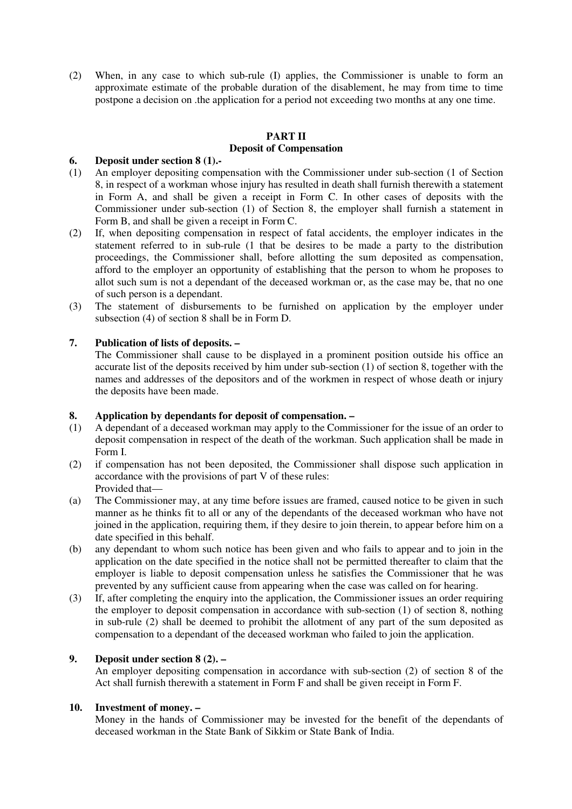(2) When, in any case to which sub-rule (I) applies, the Commissioner is unable to form an approximate estimate of the probable duration of the disablement, he may from time to time postpone a decision on .the application for a period not exceeding two months at any one time.

## **PART II Deposit of Compensation**

## **6. Deposit under section 8 (1).-**

- (1) An employer depositing compensation with the Commissioner under sub-section (1 of Section 8, in respect of a workman whose injury has resulted in death shall furnish therewith a statement in Form A, and shall be given a receipt in Form C. In other cases of deposits with the Commissioner under sub-section (1) of Section 8, the employer shall furnish a statement in Form B, and shall be given a receipt in Form C.
- (2) If, when depositing compensation in respect of fatal accidents, the employer indicates in the statement referred to in sub-rule (1 that be desires to be made a party to the distribution proceedings, the Commissioner shall, before allotting the sum deposited as compensation, afford to the employer an opportunity of establishing that the person to whom he proposes to allot such sum is not a dependant of the deceased workman or, as the case may be, that no one of such person is a dependant.
- (3) The statement of disbursements to be furnished on application by the employer under subsection (4) of section 8 shall be in Form D.

## **7. Publication of lists of deposits. –**

 The Commissioner shall cause to be displayed in a prominent position outside his office an accurate list of the deposits received by him under sub-section (1) of section 8, together with the names and addresses of the depositors and of the workmen in respect of whose death or injury the deposits have been made.

## **8. Application by dependants for deposit of compensation. –**

- (1) A dependant of a deceased workman may apply to the Commissioner for the issue of an order to deposit compensation in respect of the death of the workman. Such application shall be made in Form I.
- (2) if compensation has not been deposited, the Commissioner shall dispose such application in accordance with the provisions of part V of these rules: Provided that—
- (a) The Commissioner may, at any time before issues are framed, caused notice to be given in such manner as he thinks fit to all or any of the dependants of the deceased workman who have not joined in the application, requiring them, if they desire to join therein, to appear before him on a date specified in this behalf.
- (b) any dependant to whom such notice has been given and who fails to appear and to join in the application on the date specified in the notice shall not be permitted thereafter to claim that the employer is liable to deposit compensation unless he satisfies the Commissioner that he was prevented by any sufficient cause from appearing when the case was called on for hearing.
- (3) If, after completing the enquiry into the application, the Commissioner issues an order requiring the employer to deposit compensation in accordance with sub-section (1) of section 8, nothing in sub-rule (2) shall be deemed to prohibit the allotment of any part of the sum deposited as compensation to a dependant of the deceased workman who failed to join the application.

## **9. Deposit under section 8 (2). –**

 An employer depositing compensation in accordance with sub-section (2) of section 8 of the Act shall furnish therewith a statement in Form F and shall be given receipt in Form F.

## **10. Investment of money. –**

 Money in the hands of Commissioner may be invested for the benefit of the dependants of deceased workman in the State Bank of Sikkim or State Bank of India.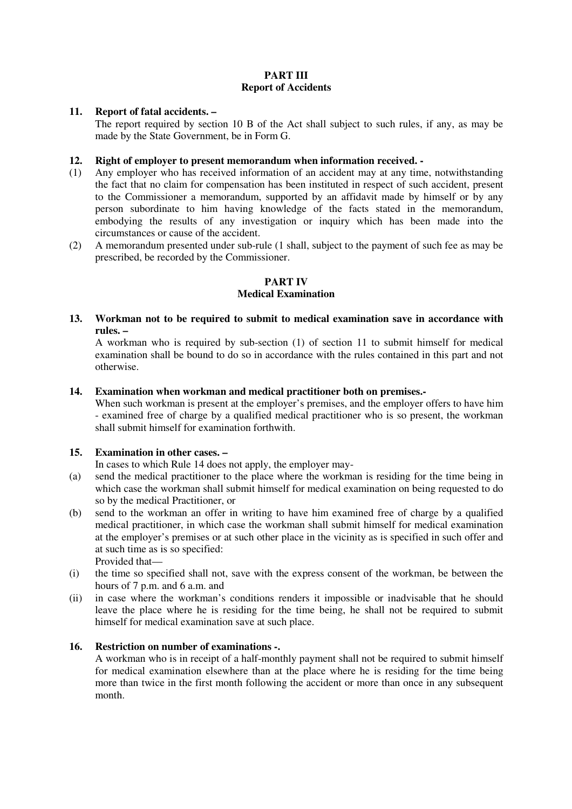## **PART III Report of Accidents**

## **11. Report of fatal accidents. –**

 The report required by section 10 B of the Act shall subject to such rules, if any, as may be made by the State Government, be in Form G.

## **12. Right of employer to present memorandum when information received. -**

- (1) Any employer who has received information of an accident may at any time, notwithstanding the fact that no claim for compensation has been instituted in respect of such accident, present to the Commissioner a memorandum, supported by an affidavit made by himself or by any person subordinate to him having knowledge of the facts stated in the memorandum, embodying the results of any investigation or inquiry which has been made into the circumstances or cause of the accident.
- (2) A memorandum presented under sub-rule (1 shall, subject to the payment of such fee as may be prescribed, be recorded by the Commissioner.

## **PART IV**

## **Medical Examination**

**13. Workman not to be required to submit to medical examination save in accordance with rules. –**

 A workman who is required by sub-section (1) of section 11 to submit himself for medical examination shall be bound to do so in accordance with the rules contained in this part and not otherwise.

## **14. Examination when workman and medical practitioner both on premises.-**

 When such workman is present at the employer's premises, and the employer offers to have him - examined free of charge by a qualified medical practitioner who is so present, the workman shall submit himself for examination forthwith.

## **15. Examination in other cases. –**

In cases to which Rule 14 does not apply, the employer may-

- (a) send the medical practitioner to the place where the workman is residing for the time being in which case the workman shall submit himself for medical examination on being requested to do so by the medical Practitioner, or
- (b) send to the workman an offer in writing to have him examined free of charge by a qualified medical practitioner, in which case the workman shall submit himself for medical examination at the employer's premises or at such other place in the vicinity as is specified in such offer and at such time as is so specified:

Provided that—

- (i) the time so specified shall not, save with the express consent of the workman, be between the hours of 7 p.m. and 6 a.m. and
- (ii) in case where the workman's conditions renders it impossible or inadvisable that he should leave the place where he is residing for the time being, he shall not be required to submit himself for medical examination save at such place.

## **16. Restriction on number of examinations -.**

 A workman who is in receipt of a half-monthly payment shall not be required to submit himself for medical examination elsewhere than at the place where he is residing for the time being more than twice in the first month following the accident or more than once in any subsequent month.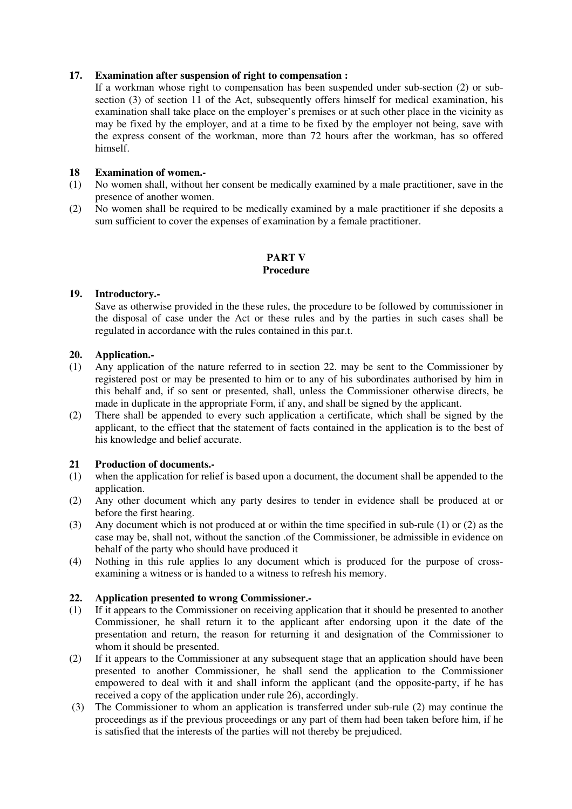## **17. Examination after suspension of right to compensation :**

 If a workman whose right to compensation has been suspended under sub-section (2) or subsection (3) of section 11 of the Act, subsequently offers himself for medical examination, his examination shall take place on the employer's premises or at such other place in the vicinity as may be fixed by the employer, and at a time to be fixed by the employer not being, save with the express consent of the workman, more than 72 hours after the workman, has so offered himself.

## **18 Examination of women.-**

- (1) No women shall, without her consent be medically examined by a male practitioner, save in the presence of another women.
- (2) No women shall be required to be medically examined by a male practitioner if she deposits a sum sufficient to cover the expenses of examination by a female practitioner.

## **PART V Procedure**

## **19. Introductory.-**

 Save as otherwise provided in the these rules, the procedure to be followed by commissioner in the disposal of case under the Act or these rules and by the parties in such cases shall be regulated in accordance with the rules contained in this par.t.

## **20. Application.-**

- (1) Any application of the nature referred to in section 22. may be sent to the Commissioner by registered post or may be presented to him or to any of his subordinates authorised by him in this behalf and, if so sent or presented, shall, unless the Commissioner otherwise directs, be made in duplicate in the appropriate Form, if any, and shall be signed by the applicant.
- (2) There shall be appended to every such application a certificate, which shall be signed by the applicant, to the effiect that the statement of facts contained in the application is to the best of his knowledge and belief accurate.

## **21 Production of documents.-**

- (1) when the application for relief is based upon a document, the document shall be appended to the application.
- (2) Any other document which any party desires to tender in evidence shall be produced at or before the first hearing.
- (3) Any document which is not produced at or within the time specified in sub-rule (1) or (2) as the case may be, shall not, without the sanction .of the Commissioner, be admissible in evidence on behalf of the party who should have produced it
- (4) Nothing in this rule applies lo any document which is produced for the purpose of crossexamining a witness or is handed to a witness to refresh his memory.

## **22. Application presented to wrong Commissioner.-**

- (1) If it appears to the Commissioner on receiving application that it should be presented to another Commissioner, he shall return it to the applicant after endorsing upon it the date of the presentation and return, the reason for returning it and designation of the Commissioner to whom it should be presented.
- (2) If it appears to the Commissioner at any subsequent stage that an application should have been presented to another Commissioner, he shall send the application to the Commissioner empowered to deal with it and shall inform the applicant (and the opposite-party, if he has received a copy of the application under rule 26), accordingly.
- (3) The Commissioner to whom an application is transferred under sub-rule (2) may continue the proceedings as if the previous proceedings or any part of them had been taken before him, if he is satisfied that the interests of the parties will not thereby be prejudiced.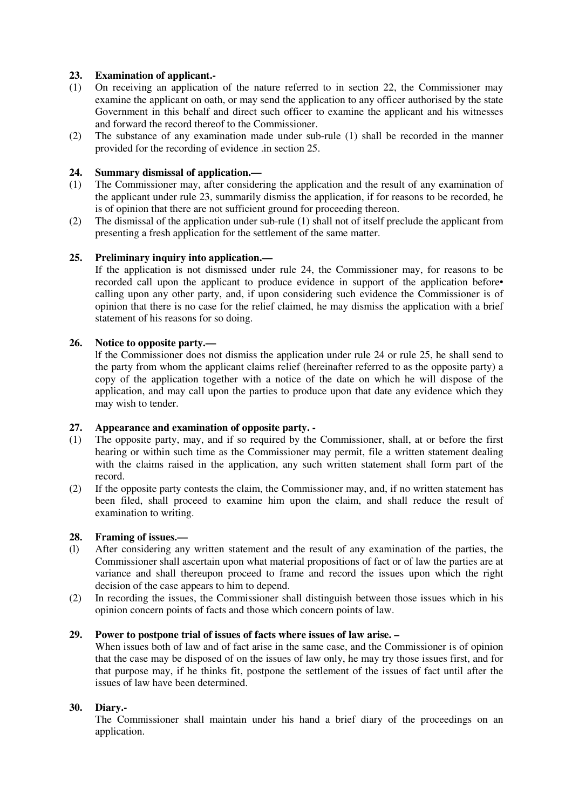## **23. Examination of applicant.-**

- (1) On receiving an application of the nature referred to in section 22, the Commissioner may examine the applicant on oath, or may send the application to any officer authorised by the state Government in this behalf and direct such officer to examine the applicant and his witnesses and forward the record thereof to the Commissioner.
- (2) The substance of any examination made under sub-rule (1) shall be recorded in the manner provided for the recording of evidence .in section 25.

## **24. Summary dismissal of application.—**

- (1) The Commissioner may, after considering the application and the result of any examination of the applicant under rule 23, summarily dismiss the application, if for reasons to be recorded, he is of opinion that there are not sufficient ground for proceeding thereon.
- (2) The dismissal of the application under sub-rule (1) shall not of itself preclude the applicant from presenting a fresh application for the settlement of the same matter.

## **25. Preliminary inquiry into application.—**

 If the application is not dismissed under rule 24, the Commissioner may, for reasons to be recorded call upon the applicant to produce evidence in support of the application before• calling upon any other party, and, if upon considering such evidence the Commissioner is of opinion that there is no case for the relief claimed, he may dismiss the application with a brief statement of his reasons for so doing.

## **26. Notice to opposite party.—**

 lf the Commissioner does not dismiss the application under rule 24 or rule 25, he shall send to the party from whom the applicant claims relief (hereinafter referred to as the opposite party) a copy of the application together with a notice of the date on which he will dispose of the application, and may call upon the parties to produce upon that date any evidence which they may wish to tender.

## **27. Appearance and examination of opposite party. -**

- (1) The opposite party, may, and if so required by the Commissioner, shall, at or before the first hearing or within such time as the Commissioner may permit, file a written statement dealing with the claims raised in the application, any such written statement shall form part of the record.
- (2) If the opposite party contests the claim, the Commissioner may, and, if no written statement has been filed, shall proceed to examine him upon the claim, and shall reduce the result of examination to writing.

## **28. Framing of issues.—**

- (l) After considering any written statement and the result of any examination of the parties, the Commissioner shall ascertain upon what material propositions of fact or of law the parties are at variance and shall thereupon proceed to frame and record the issues upon which the right decision of the case appears to him to depend.
- (2) In recording the issues, the Commissioner shall distinguish between those issues which in his opinion concern points of facts and those which concern points of law.

## **29. Power to postpone trial of issues of facts where issues of law arise. –**

 When issues both of law and of fact arise in the same case, and the Commissioner is of opinion that the case may be disposed of on the issues of law only, he may try those issues first, and for that purpose may, if he thinks fit, postpone the settlement of the issues of fact until after the issues of law have been determined.

## **30. Diary.-**

 The Commissioner shall maintain under his hand a brief diary of the proceedings on an application.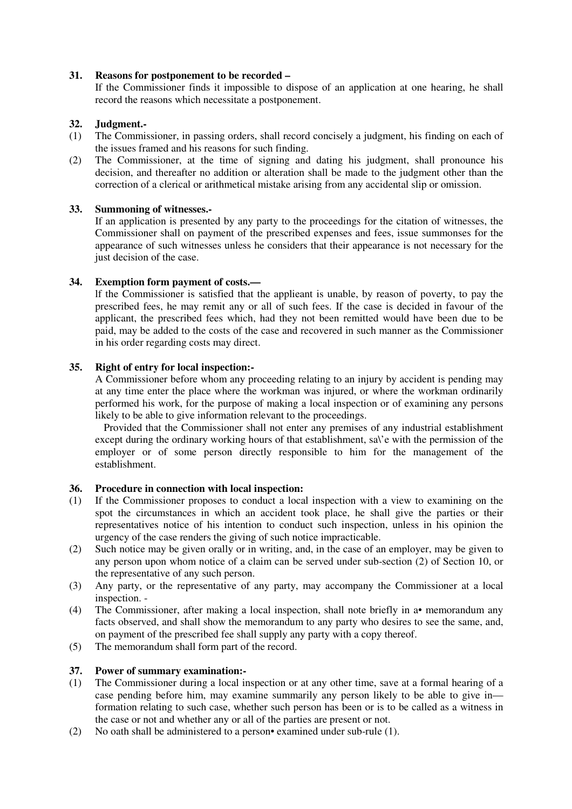#### **31. Reasons for postponement to be recorded –**

 If the Commissioner finds it impossible to dispose of an application at one hearing, he shall record the reasons which necessitate a postponement.

#### **32. Judgment.-**

- (1) The Commissioner, in passing orders, shall record concisely a judgment, his finding on each of the issues framed and his reasons for such finding.
- (2) The Commissioner, at the time of signing and dating his judgment, shall pronounce his decision, and thereafter no addition or alteration shall be made to the judgment other than the correction of a clerical or arithmetical mistake arising from any accidental slip or omission.

#### **33. Summoning of witnesses.-**

 If an application is presented by any party to the proceedings for the citation of witnesses, the Commissioner shall on payment of the prescribed expenses and fees, issue summonses for the appearance of such witnesses unless he considers that their appearance is not necessary for the just decision of the case.

## **34. Exemption form payment of costs.—**

 lf the Commissioner is satisfied that the applieant is unable, by reason of poverty, to pay the prescribed fees, he may remit any or all of such fees. If the case is decided in favour of the applicant, the prescribed fees which, had they not been remitted would have been due to be paid, may be added to the costs of the case and recovered in such manner as the Commissioner in his order regarding costs may direct.

#### **35. Right of entry for local inspection:-**

 A Commissioner before whom any proceeding relating to an injury by accident is pending may at any time enter the place where the workman was injured, or where the workman ordinarily performed his work, for the purpose of making a local inspection or of examining any persons likely to be able to give information relevant to the proceedings.

 Provided that the Commissioner shall not enter any premises of any industrial establishment except during the ordinary working hours of that establishment, sa\'e with the permission of the employer or of some person directly responsible to him for the management of the establishment.

## **36. Procedure in connection with local inspection:**

- (1) If the Commissioner proposes to conduct a local inspection with a view to examining on the spot the circumstances in which an accident took place, he shall give the parties or their representatives notice of his intention to conduct such inspection, unless in his opinion the urgency of the case renders the giving of such notice impracticable.
- (2) Such notice may be given orally or in writing, and, in the case of an employer, may be given to any person upon whom notice of a claim can be served under sub-section (2) of Section 10, or the representative of any such person.
- (3) Any party, or the representative of any party, may accompany the Commissioner at a local inspection. -
- (4) The Commissioner, after making a local inspection, shall note briefly in a• memorandum any facts observed, and shall show the memorandum to any party who desires to see the same, and, on payment of the prescribed fee shall supply any party with a copy thereof.
- (5) The memorandum shall form part of the record.

## **37. Power of summary examination:-**

- (1) The Commissioner during a local inspection or at any other time, save at a formal hearing of a case pending before him, may examine summarily any person likely to be able to give in formation relating to such case, whether such person has been or is to be called as a witness in the case or not and whether any or all of the parties are present or not.
- (2) No oath shall be administered to a person• examined under sub-rule (1).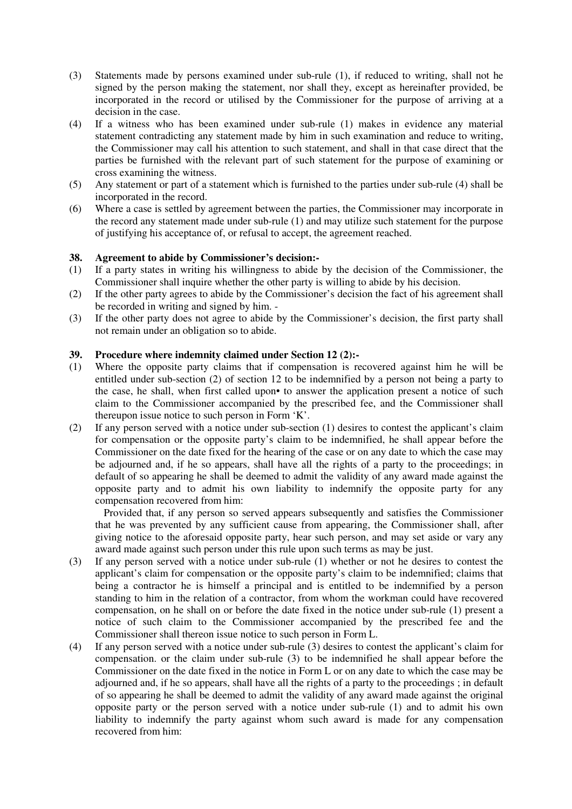- (3) Statements made by persons examined under sub-rule (1), if reduced to writing, shall not he signed by the person making the statement, nor shall they, except as hereinafter provided, be incorporated in the record or utilised by the Commissioner for the purpose of arriving at a decision in the case.
- (4) If a witness who has been examined under sub-rule (1) makes in evidence any material statement contradicting any statement made by him in such examination and reduce to writing, the Commissioner may call his attention to such statement, and shall in that case direct that the parties be furnished with the relevant part of such statement for the purpose of examining or cross examining the witness.
- (5) Any statement or part of a statement which is furnished to the parties under sub-rule (4) shall be incorporated in the record.
- (6) Where a case is settled by agreement between the parties, the Commissioner may incorporate in the record any statement made under sub-rule (1) and may utilize such statement for the purpose of justifying his acceptance of, or refusal to accept, the agreement reached.

## **38. Agreement to abide by Commissioner's decision:-**

- (1) If a party states in writing his willingness to abide by the decision of the Commissioner, the Commissioner shall inquire whether the other party is willing to abide by his decision.
- (2) If the other party agrees to abide by the Commissioner's decision the fact of his agreement shall be recorded in writing and signed by him. -
- (3) If the other party does not agree to abide by the Commissioner's decision, the first party shall not remain under an obligation so to abide.

## **39. Procedure where indemnity claimed under Section 12 (2):-**

- (1) Where the opposite party claims that if compensation is recovered against him he will be entitled under sub-section (2) of section 12 to be indemnified by a person not being a party to the case, he shall, when first called upon• to answer the application present a notice of such claim to the Commissioner accompanied by the prescribed fee, and the Commissioner shall thereupon issue notice to such person in Form 'K'.
- (2) If any person served with a notice under sub-section (1) desires to contest the applicant's claim for compensation or the opposite party's claim to be indemnified, he shall appear before the Commissioner on the date fixed for the hearing of the case or on any date to which the case may be adjourned and, if he so appears, shall have all the rights of a party to the proceedings; in default of so appearing he shall be deemed to admit the validity of any award made against the opposite party and to admit his own liability to indemnify the opposite party for any compensation recovered from him:

 Provided that, if any person so served appears subsequently and satisfies the Commissioner that he was prevented by any sufficient cause from appearing, the Commissioner shall, after giving notice to the aforesaid opposite party, hear such person, and may set aside or vary any award made against such person under this rule upon such terms as may be just.

- (3) If any person served with a notice under sub-rule (1) whether or not he desires to contest the applicant's claim for compensation or the opposite party's claim to be indemnified; claims that being a contractor he is himself a principal and is entitled to be indemnified by a person standing to him in the relation of a contractor, from whom the workman could have recovered compensation, on he shall on or before the date fixed in the notice under sub-rule (1) present a notice of such claim to the Commissioner accompanied by the prescribed fee and the Commissioner shall thereon issue notice to such person in Form L.
- (4) If any person served with a notice under sub-rule (3) desires to contest the applicant's claim for compensation. or the claim under sub-rule (3) to be indemnified he shall appear before the Commissioner on the date fixed in the notice in Form L or on any date to which the case may be adjourned and, if he so appears, shall have all the rights of a party to the proceedings ; in default of so appearing he shall be deemed to admit the validity of any award made against the original opposite party or the person served with a notice under sub-rule (1) and to admit his own liability to indemnify the party against whom such award is made for any compensation recovered from him: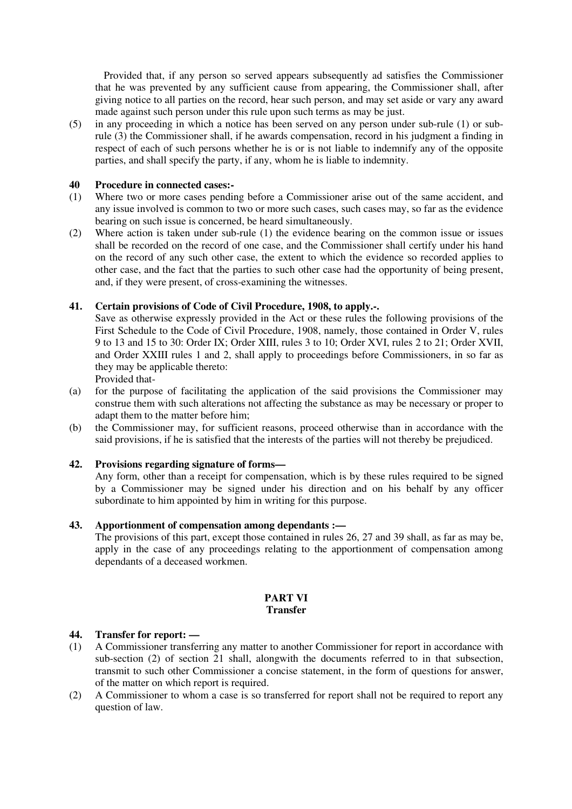Provided that, if any person so served appears subsequently ad satisfies the Commissioner that he was prevented by any sufficient cause from appearing, the Commissioner shall, after giving notice to all parties on the record, hear such person, and may set aside or vary any award made against such person under this rule upon such terms as may be just.

(5) in any proceeding in which a notice has been served on any person under sub-rule (1) or subrule (3) the Commissioner shall, if he awards compensation, record in his judgment a finding in respect of each of such persons whether he is or is not liable to indemnify any of the opposite parties, and shall specify the party, if any, whom he is liable to indemnity.

## **40 Procedure in connected cases:-**

- (1) Where two or more cases pending before a Commissioner arise out of the same accident, and any issue involved is common to two or more such cases, such cases may, so far as the evidence bearing on such issue is concerned, be heard simultaneously.
- (2) Where action is taken under sub-rule (1) the evidence bearing on the common issue or issues shall be recorded on the record of one case, and the Commissioner shall certify under his hand on the record of any such other case, the extent to which the evidence so recorded applies to other case, and the fact that the parties to such other case had the opportunity of being present, and, if they were present, of cross-examining the witnesses.

## **41. Certain provisions of Code of Civil Procedure, 1908, to apply.-.**

 Save as otherwise expressly provided in the Act or these rules the following provisions of the First Schedule to the Code of Civil Procedure, 1908, namely, those contained in Order V, rules 9 to 13 and 15 to 30: Order IX; Order XIII, rules 3 to 10; Order XVI, rules 2 to 21; Order XVII, and Order XXIII rules 1 and 2, shall apply to proceedings before Commissioners, in so far as they may be applicable thereto:

Provided that-

- (a) for the purpose of facilitating the application of the said provisions the Commissioner may construe them with such alterations not affecting the substance as may be necessary or proper to adapt them to the matter before him;
- (b) the Commissioner may, for sufficient reasons, proceed otherwise than in accordance with the said provisions, if he is satisfied that the interests of the parties will not thereby be prejudiced.

## **42. Provisions regarding signature of forms—**

 Any form, other than a receipt for compensation, which is by these rules required to be signed by a Commissioner may be signed under his direction and on his behalf by any officer subordinate to him appointed by him in writing for this purpose.

## **43. Apportionment of compensation among dependants :—**

 The provisions of this part, except those contained in rules 26, 27 and 39 shall, as far as may be, apply in the case of any proceedings relating to the apportionment of compensation among dependants of a deceased workmen.

#### **PART VI Transfer**

## **44. Transfer for report: —**

- (1) A Commissioner transferring any matter to another Commissioner for report in accordance with sub-section (2) of section 21 shall, alongwith the documents referred to in that subsection, transmit to such other Commissioner a concise statement, in the form of questions for answer, of the matter on which report is required.
- (2) A Commissioner to whom a case is so transferred for report shall not be required to report any question of law.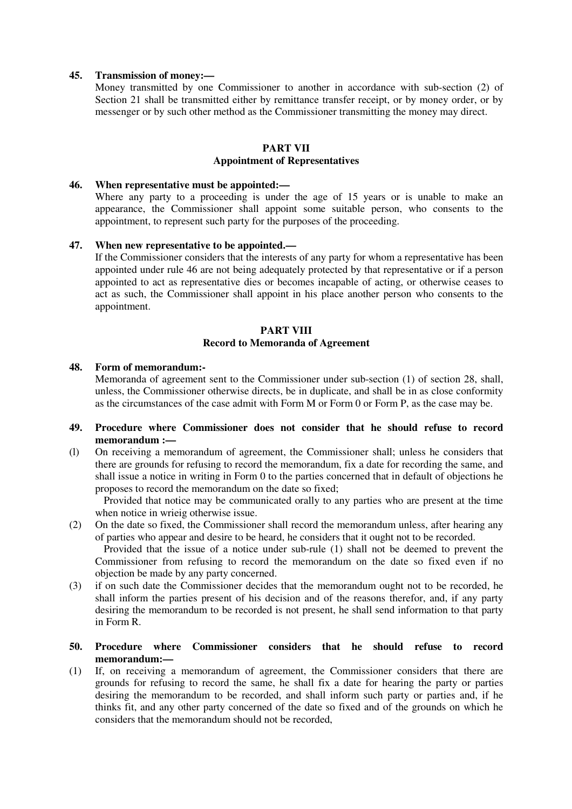#### **45. Transmission of money:—**

 Money transmitted by one Commissioner to another in accordance with sub-section (2) of Section 21 shall be transmitted either by remittance transfer receipt, or by money order, or by messenger or by such other method as the Commissioner transmitting the money may direct.

## **PART VII Appointment of Representatives**

#### **46. When representative must be appointed:—**

Where any party to a proceeding is under the age of 15 years or is unable to make an appearance, the Commissioner shall appoint some suitable person, who consents to the appointment, to represent such party for the purposes of the proceeding.

#### **47. When new representative to be appointed.—**

 If the Commissioner considers that the interests of any party for whom a representative has been appointed under rule 46 are not being adequately protected by that representative or if a person appointed to act as representative dies or becomes incapable of acting, or otherwise ceases to act as such, the Commissioner shall appoint in his place another person who consents to the appointment.

#### **PART VIII Record to Memoranda of Agreement**

#### **48. Form of memorandum:-**

 Memoranda of agreement sent to the Commissioner under sub-section (1) of section 28, shall, unless, the Commissioner otherwise directs, be in duplicate, and shall be in as close conformity as the circumstances of the case admit with Form M or Form 0 or Form P, as the case may be.

#### **49. Procedure where Commissioner does not consider that he should refuse to record memorandum :—**

(l) On receiving a memorandum of agreement, the Commissioner shall; unless he considers that there are grounds for refusing to record the memorandum, fix a date for recording the same, and shall issue a notice in writing in Form 0 to the parties concerned that in default of objections he proposes to record the memorandum on the date so fixed;

 Provided that notice may be communicated orally to any parties who are present at the time when notice in wrieig otherwise issue.

(2) On the date so fixed, the Commissioner shall record the memorandum unless, after hearing any of parties who appear and desire to be heard, he considers that it ought not to be recorded.

 Provided that the issue of a notice under sub-rule (1) shall not be deemed to prevent the Commissioner from refusing to record the memorandum on the date so fixed even if no objection be made by any party concerned.

(3) if on such date the Commissioner decides that the memorandum ought not to be recorded, he shall inform the parties present of his decision and of the reasons therefor, and, if any party desiring the memorandum to be recorded is not present, he shall send information to that party in Form R.

#### **50. Procedure where Commissioner considers that he should refuse to record memorandum:—**

(1) If, on receiving a memorandum of agreement, the Commissioner considers that there are grounds for refusing to record the same, he shall fix a date for hearing the party or parties desiring the memorandum to be recorded, and shall inform such party or parties and, if he thinks fit, and any other party concerned of the date so fixed and of the grounds on which he considers that the memorandum should not be recorded,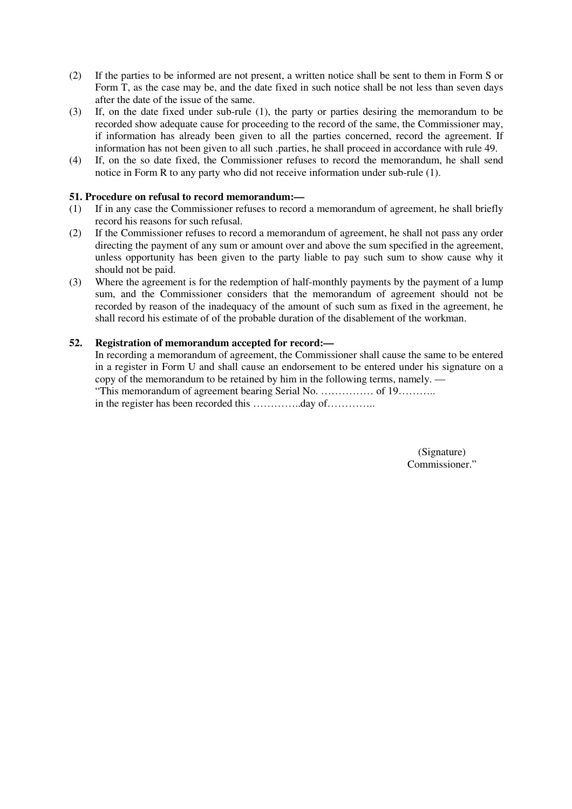- (2) If the parties to be informed are not present, a written notice shall be sent to them in Form S or Form T, as the case may be, and the date fixed in such notice shall be not less than seven days after the date of the issue of the same.
- (3) If, on the date fixed under sub-rule (1), the party or parties desiring the memorandum to be recorded show adequate cause for proceeding to the record of the same, the Commissioner may, if information has already been given to all the parties concerned, record the agreement. If information has not been given to all such .parties, he shall proceed in accordance with rule 49.
- (4) If, on the so date fixed, the Commissioner refuses to record the memorandum, he shall send notice in Form R to any party who did not receive information under sub-rule (1).

## **51. Procedure on refusal to record memorandum:—**

- (1) If in any case the Commissioner refuses to record a memorandum of agreement, he shall briefly record his reasons for such refusal.
- (2) If the Commissioner refuses to record a memorandum of agreement, he shall not pass any order directing the payment of any sum or amount over and above the sum specified in the agreement, unless opportunity has been given to the party liable to pay such sum to show cause why it should not be paid.
- (3) Where the agreement is for the redemption of half-monthly payments by the payment of a lump sum, and the Commissioner considers that the memorandum of agreement should not be recorded by reason of the inadequacy of the amount of such sum as fixed in the agreement, he shall record his estimate of of the probable duration of the disablement of the workman.

## **52. Registration of memorandum accepted for record:—**

 In recording a memorandum of agreement, the Commissioner shall cause the same to be entered in a register in Form U and shall cause an endorsement to be entered under his signature on a copy of the memorandum to be retained by him in the following terms, namely. — "This memorandum of agreement bearing Serial No. …………… of 19……….. in the register has been recorded this …………..day of…………..

> (Signature) Commissioner."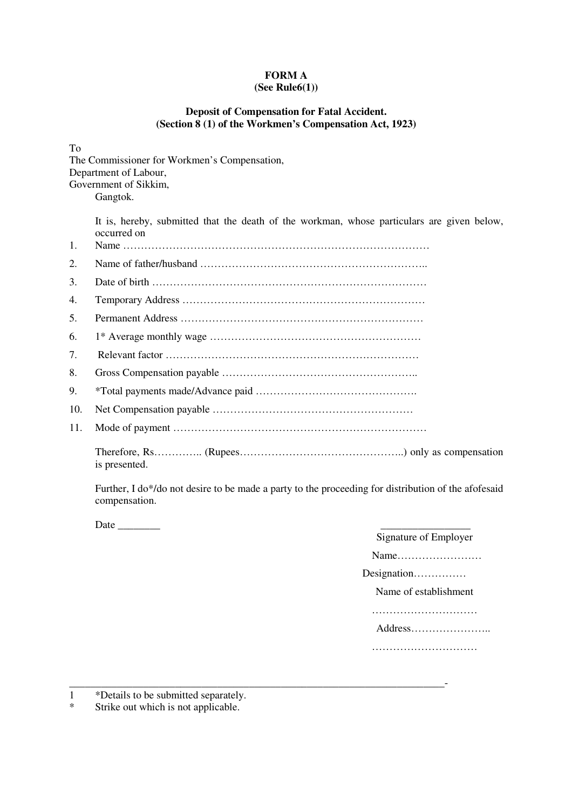#### **FORM A (See Rule6(1))**

## **Deposit of Compensation for Fatal Accident. (Section 8 (1) of the Workmen's Compensation Act, 1923)**

To

The Commissioner for Workmen's Compensation, Department of Labour, Government of Sikkim, Gangtok.

> It is, hereby, submitted that the death of the workman, whose particulars are given below, occurred on<br>Name

| 1.  |  |
|-----|--|
| 2.  |  |
| 3.  |  |
| 4.  |  |
| 5.  |  |
| 6.  |  |
| 7.  |  |
| 8.  |  |
| 9.  |  |
| 10. |  |
| 11. |  |
|     |  |

\_\_\_\_\_\_\_\_\_\_\_\_\_\_\_\_\_\_\_\_\_\_\_\_\_\_\_\_\_\_\_\_\_\_\_\_\_\_\_\_\_\_\_\_\_\_\_\_\_\_\_\_\_\_\_\_\_\_\_\_\_\_\_\_\_\_\_\_\_\_\_-

 Further, I do\*/do not desire to be made a party to the proceeding for distribution of the afofesaid compensation.

Date \_\_\_\_\_\_\_\_ \_\_\_\_\_\_\_\_\_\_\_\_\_\_\_\_\_

is presented.

| ıte |                       |
|-----|-----------------------|
|     | Signature of Employer |
|     | Name                  |
|     | Designation           |
|     | Name of establishment |
|     |                       |
|     | Address               |
|     |                       |
|     |                       |

1 \*Details to be submitted separately.

\* Strike out which is not applicable.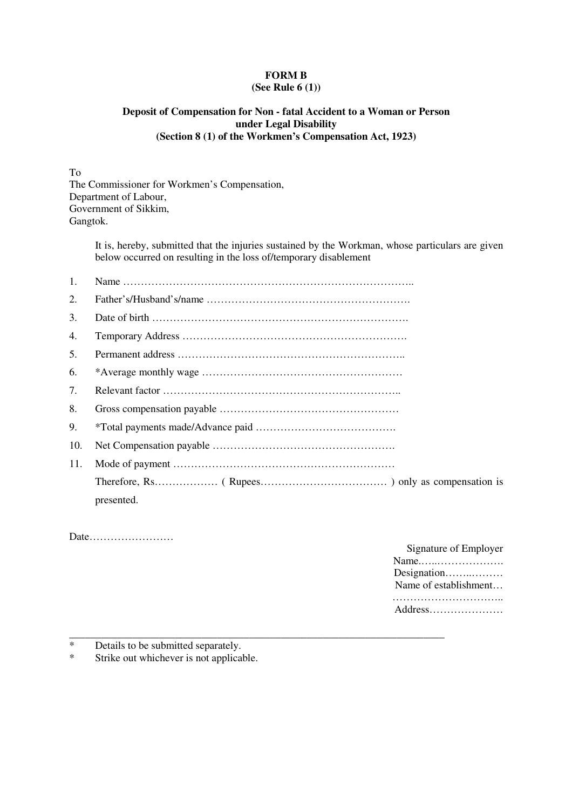# **FORM B**

## **(See Rule 6 (1))**

## **Deposit of Compensation for Non - fatal Accident to a Woman or Person under Legal Disability (Section 8 (1) of the Workmen's Compensation Act, 1923)**

To The Commissioner for Workmen's Compensation, Department of Labour, Government of Sikkim, Gangtok.

> It is, hereby, submitted that the injuries sustained by the Workman, whose particulars are given below occurred on resulting in the loss of/temporary disablement

| 1.  |            |
|-----|------------|
| 2.  |            |
| 3.  |            |
| 4.  |            |
| 5.  |            |
| 6.  |            |
| 7.  |            |
| 8.  |            |
| 9.  |            |
| 10. |            |
| 11. |            |
|     |            |
|     | presented. |

Date……………………

| Signature of Employer |
|-----------------------|
| Name                  |
| Designation           |
| Name of establishment |
|                       |
|                       |

- \_\_\_\_\_\_\_\_\_\_\_\_\_\_\_\_\_\_\_\_\_\_\_\_\_\_\_\_\_\_\_\_\_\_\_\_\_\_\_\_\_\_\_\_\_\_\_\_\_\_\_\_\_\_\_\_\_\_\_\_\_\_\_\_\_\_\_\_\_\_\_ \* Details to be submitted separately.<br>\* Strike out whichever is not applicable.
- Strike out whichever is not applicable.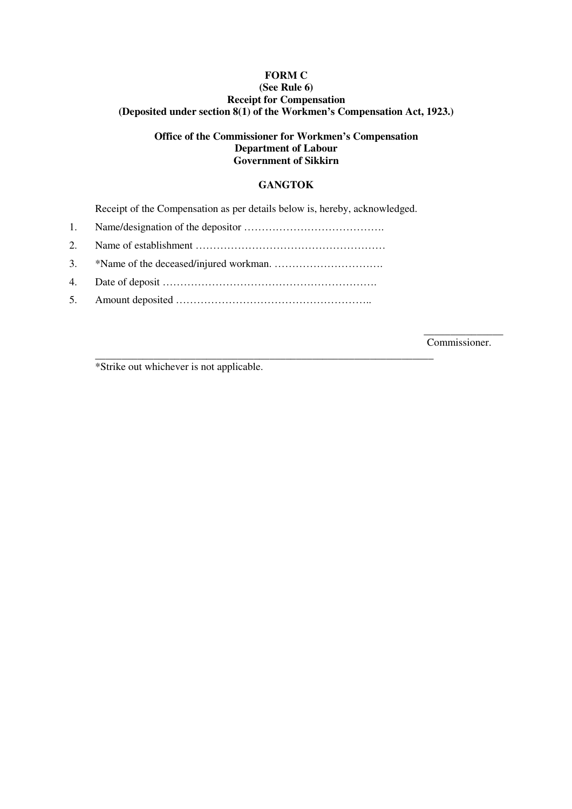## **FORM C (See Rule 6) Receipt for Compensation (Deposited under section 8(1) of the Workmen's Compensation Act, 1923.)**

## **Office of the Commissioner for Workmen's Compensation Department of Labour Government of Sikkirn**

## **GANGTOK**

Receipt of the Compensation as per details below is, hereby, acknowledged.

\_\_\_\_\_\_\_\_\_\_\_\_\_\_\_\_\_\_\_\_\_\_\_\_\_\_\_\_\_\_\_\_\_\_\_\_\_\_\_\_\_\_\_\_\_\_\_\_\_\_\_\_\_\_\_\_\_\_\_\_\_\_\_\_

- 1. Name/designation of the depositor ………………………………….
- 2. Name of establishment ………………………………………………
- 3. \*Name of the deceased/injured workman. ………………………….
- 4. Date of deposit …………………………………………………….
- 5. Amount deposited ………………………………………………..

 $\overline{\phantom{a}}$  , we can also the contract of  $\overline{\phantom{a}}$ Commissioner.

\*Strike out whichever is not applicable.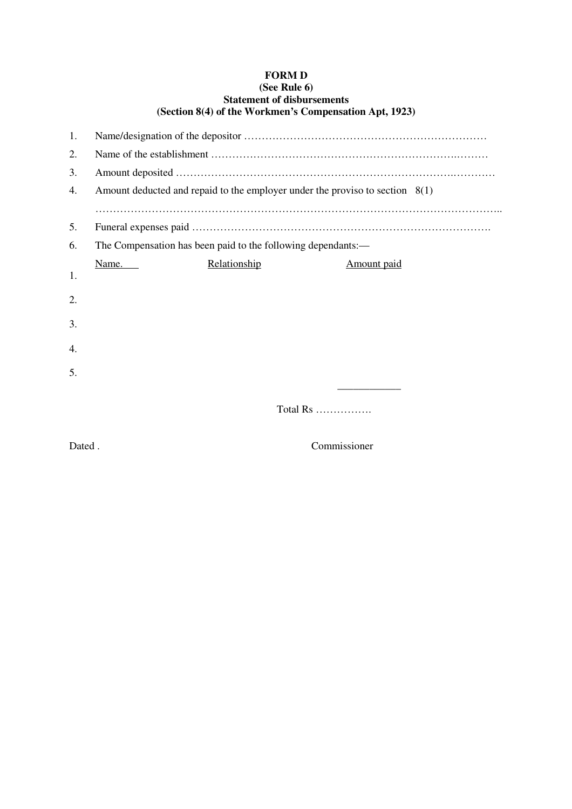## **FORM D (See Rule 6) Statement of disbursements (Section 8(4) of the Workmen's Compensation Apt, 1923)**

| 1. |                                                                                |              |             |
|----|--------------------------------------------------------------------------------|--------------|-------------|
| 2. |                                                                                |              |             |
| 3. |                                                                                |              |             |
| 4. | Amount deducted and repaid to the employer under the proviso to section $8(1)$ |              |             |
|    |                                                                                |              |             |
| 5. |                                                                                |              |             |
| 6. | The Compensation has been paid to the following dependants:—                   |              |             |
|    | Name.                                                                          | Relationship | Amount paid |
| 1. |                                                                                |              |             |
| 2. |                                                                                |              |             |
| 3. |                                                                                |              |             |
|    |                                                                                |              |             |
| 4. |                                                                                |              |             |
| 5. |                                                                                |              |             |
|    |                                                                                |              |             |
|    |                                                                                | Total $Rs$   |             |
|    |                                                                                |              |             |

Dated . Commissioner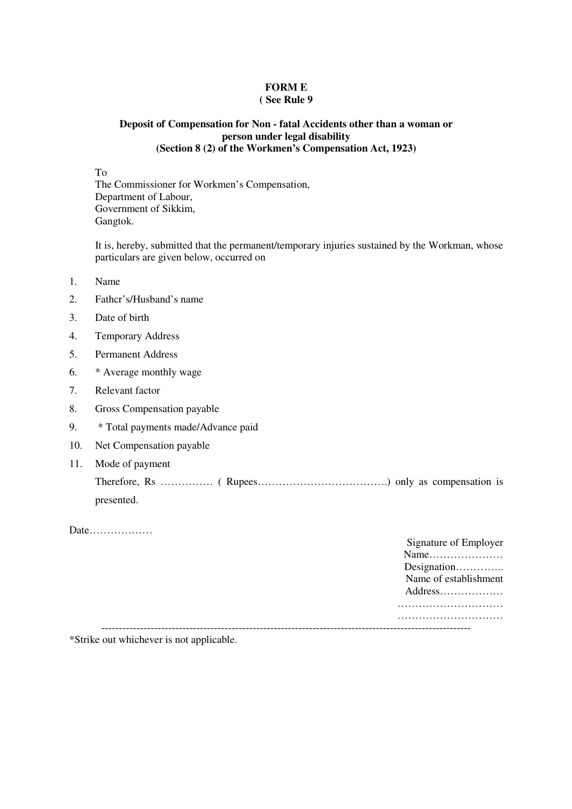# **FORM E**

## **( See Rule 9**

## **Deposit of Compensation for Non - fatal Accidents other than a woman or person under legal disability (Section 8 (2) of the Workmen's Compensation Act, 1923)**

To

The Commissioner for Workmen's Compensation, Department of Labour, Government of Sikkim, Gangtok.

 It is, hereby, submitted that the permanent/temporary injuries sustained by the Workman, whose particulars are given below, occurred on

- 1. Name
- 2. Fathcr's/Husband's name
- 3. Date of birth
- 4. Temporary Address
- 5. Permanent Address
- 6. \* Average monthly wage
- 7. Relevant factor
- 8. Gross Compensation payable
- 9. \* Total payments made/Advance paid
- 10. Net Compensation payable
- 11. Mode of payment

 Therefore, Rs …………… ( Rupees……………………………….) only as compensation is presented.

Date………………

| Signature of Employer |
|-----------------------|
|                       |
| Designation           |
| Name of establishment |
| Address               |
|                       |
|                       |
|                       |

\*Strike out whichever is not applicable.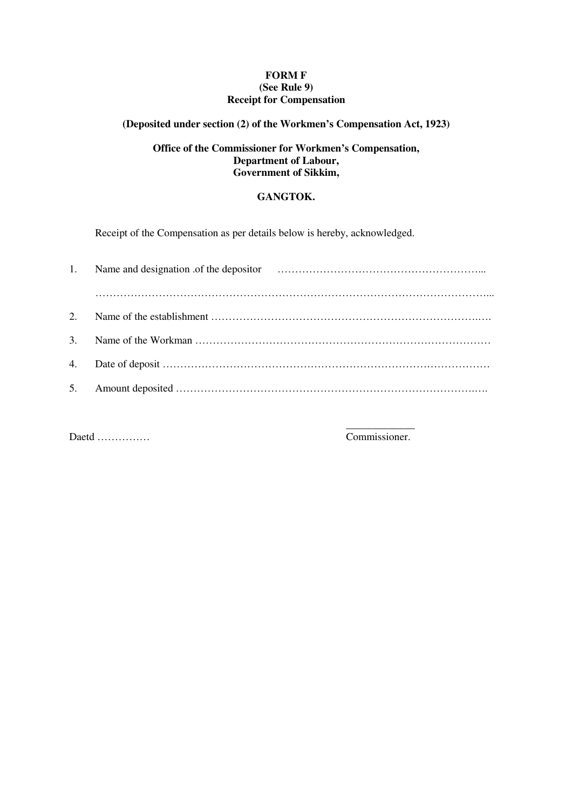## **FORM F (See Rule 9) Receipt for Compensation**

## **(Deposited under section (2) of the Workmen's Compensation Act, 1923)**

## **Office of the Commissioner for Workmen's Compensation, Department of Labour, Government of Sikkim,**

## **GANGTOK.**

Receipt of the Compensation as per details below is hereby, acknowledged.

| $2^{\circ}$ |  |
|-------------|--|
|             |  |
|             |  |
|             |  |

Daetd ……………

 $\mathcal{L}_\mathcal{L}$  , which is a set of the set of the set of the set of the set of the set of the set of the set of the set of the set of the set of the set of the set of the set of the set of the set of the set of the set of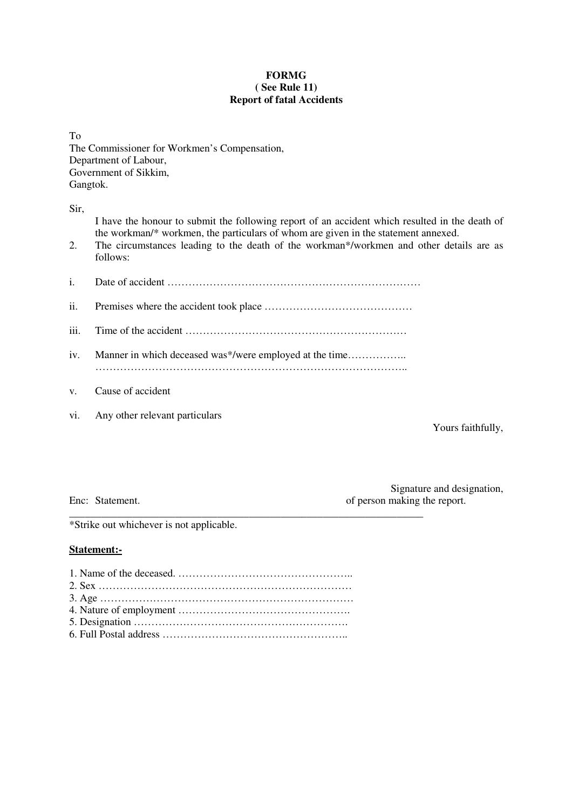## **FORMG ( See Rule 11) Report of fatal Accidents**

To The Commissioner for Workmen's Compensation, Department of Labour, Government of Sikkim, Gangtok.

Sir,

| 2.   | I have the honour to submit the following report of an accident which resulted in the death of<br>the workman/* workmen, the particulars of whom are given in the statement annexed.<br>The circumstances leading to the death of the workman*/workmen and other details are as<br>follows: |
|------|---------------------------------------------------------------------------------------------------------------------------------------------------------------------------------------------------------------------------------------------------------------------------------------------|
| i.   |                                                                                                                                                                                                                                                                                             |
| ii.  |                                                                                                                                                                                                                                                                                             |
| iii. |                                                                                                                                                                                                                                                                                             |
| iv.  |                                                                                                                                                                                                                                                                                             |
| V.   | Cause of accident                                                                                                                                                                                                                                                                           |

vi. Any other relevant particulars

Yours faithfully,

Signature and designation, Enc: Statement. **Enc:** Statement. **of person making the report.** 

\*Strike out whichever is not applicable.

## **Statement:-**

\_\_\_\_\_\_\_\_\_\_\_\_\_\_\_\_\_\_\_\_\_\_\_\_\_\_\_\_\_\_\_\_\_\_\_\_\_\_\_\_\_\_\_\_\_\_\_\_\_\_\_\_\_\_\_\_\_\_\_\_\_\_\_\_\_\_\_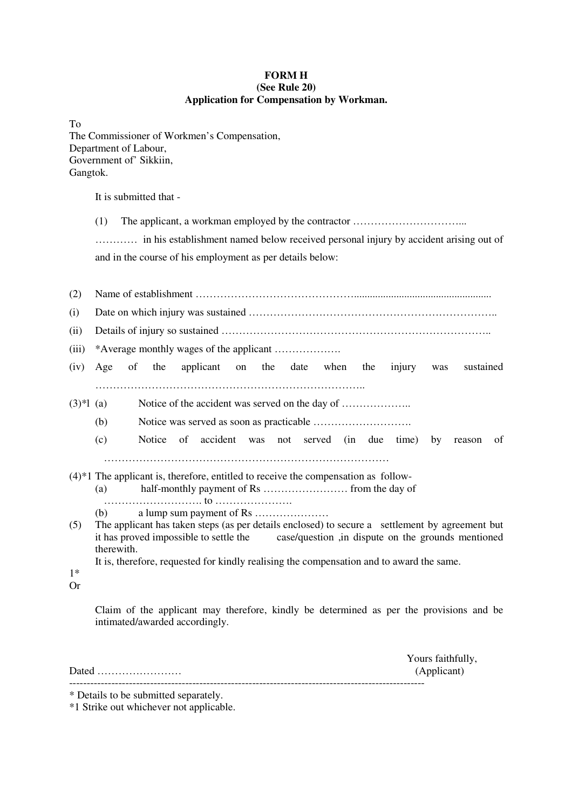## **FORM H (See Rule 20) Application for Compensation by Workman.**

| To                                          |
|---------------------------------------------|
| The Commissioner of Workmen's Compensation, |
| Department of Labour,                       |
| Government of' Sikkiin,                     |
| Gangtok.                                    |

It is submitted that -

(1) The applicant, a workman employed by the contractor …………………………………………………………………

 ………… in his establishment named below received personal injury by accident arising out of and in the course of his employment as per details below:

| (2)         |                                                                                                         |  |  |
|-------------|---------------------------------------------------------------------------------------------------------|--|--|
| (i)         |                                                                                                         |  |  |
| (ii)        |                                                                                                         |  |  |
| (iii)       |                                                                                                         |  |  |
| (iv)        | the<br>applicant on the date<br>sustained<br>of<br>when<br>injury<br>Age<br>the<br>was                  |  |  |
|             |                                                                                                         |  |  |
| $(3)*1$ (a) |                                                                                                         |  |  |
|             | (b)                                                                                                     |  |  |
|             | (c)<br>of<br>accident<br>not served (in due<br>Notice<br>was<br>time)<br>by<br>of<br>reason             |  |  |
|             |                                                                                                         |  |  |
|             | $(4)*1$ The applicant is, therefore, entitled to receive the compensation as follow-                    |  |  |
|             | (a)                                                                                                     |  |  |
|             |                                                                                                         |  |  |
|             | (b)                                                                                                     |  |  |
| (5)         | The applicant has taken steps (as per details enclosed) to secure a settlement by agreement but         |  |  |
|             | it has proved impossible to settle the case/question ,in dispute on the grounds mentioned<br>therewith. |  |  |
|             | It is, therefore, requested for kindly realising the compensation and to award the same.                |  |  |
| $1*$        |                                                                                                         |  |  |
| Or          |                                                                                                         |  |  |
|             |                                                                                                         |  |  |

Claim of the applicant may therefore, kindly be determined as per the provisions and be intimated/awarded accordingly.

| Yours faithfully, |
|-------------------|
| (Applicant)       |
|                   |

<sup>\*</sup> Details to be submitted separately.

<sup>\*1</sup> Strike out whichever not applicable.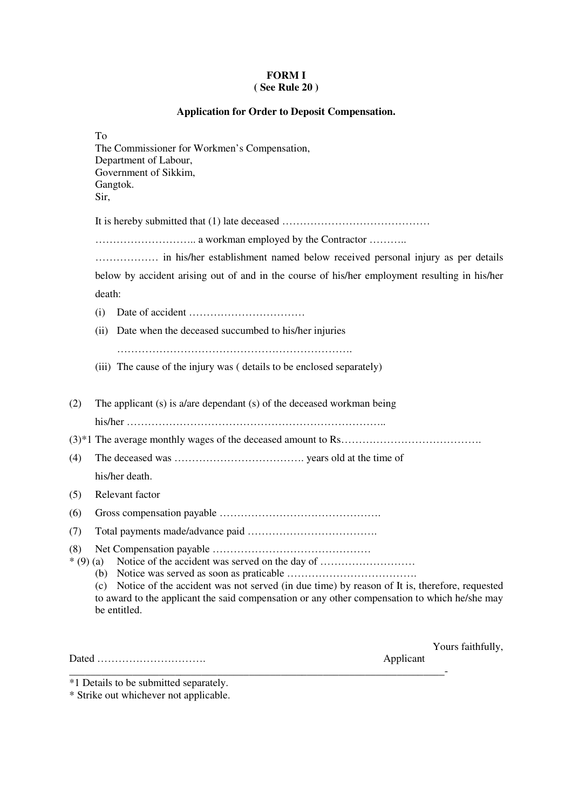## **FORM I ( See Rule 20 )**

## **Application for Order to Deposit Compensation.**

|                   | To<br>The Commissioner for Workmen's Compensation,<br>Department of Labour,<br>Government of Sikkim,<br>Gangtok.<br>Sir,                                                                                                                                                       |
|-------------------|--------------------------------------------------------------------------------------------------------------------------------------------------------------------------------------------------------------------------------------------------------------------------------|
|                   |                                                                                                                                                                                                                                                                                |
|                   |                                                                                                                                                                                                                                                                                |
|                   |                                                                                                                                                                                                                                                                                |
|                   | below by accident arising out of and in the course of his/her employment resulting in his/her                                                                                                                                                                                  |
|                   | death:                                                                                                                                                                                                                                                                         |
|                   | (i)                                                                                                                                                                                                                                                                            |
|                   | Date when the deceased succumbed to his/her injuries<br>(ii)                                                                                                                                                                                                                   |
|                   | (iii) The cause of the injury was (details to be enclosed separately)                                                                                                                                                                                                          |
| (2)               | The applicant (s) is a/are dependant (s) of the deceased workman being                                                                                                                                                                                                         |
| (4)               |                                                                                                                                                                                                                                                                                |
|                   | his/her death.                                                                                                                                                                                                                                                                 |
| (5)               | Relevant factor                                                                                                                                                                                                                                                                |
| (6)               |                                                                                                                                                                                                                                                                                |
| (7)               |                                                                                                                                                                                                                                                                                |
| (8)<br>$*(9)$ (a) | Notice of the accident was served on the day of<br>(b)<br>Notice of the accident was not served (in due time) by reason of It is, therefore, requested<br>(c)<br>to award to the applicant the said compensation or any other compensation to which he/she may<br>be entitled. |

Dated …………………………. Applicant

Yours faithfully,

\_\_\_\_\_\_\_\_\_\_\_\_\_\_\_\_\_\_\_\_\_\_\_\_\_\_\_\_\_\_\_\_\_\_\_\_\_\_\_\_\_\_\_\_\_\_\_\_\_\_\_\_\_\_\_\_\_\_\_\_\_\_\_\_\_\_\_\_\_\_\_-

\*1 Details to be submitted separately.

\* Strike out whichever not applicable.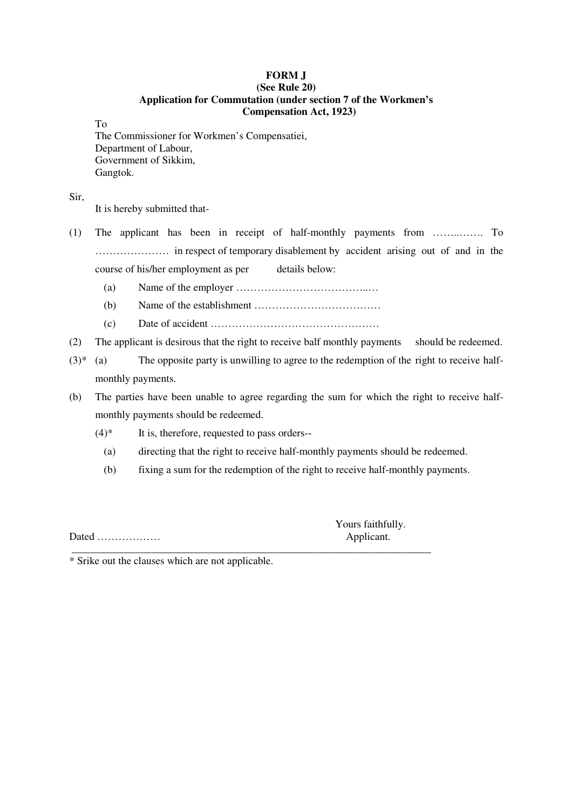## **FORM J (See Rule 20) Application for Commutation (under section 7 of the Workmen's Compensation Act, 1923)**

To

The Commissioner for Workmen's Compensatiei, Department of Labour, Government of Sikkim, Gangtok.

Sir,

It is hereby submitted that-

- (1) The applicant has been in receipt of half-monthly payments from ……..……. To ………………… in respect of temporary disablement by accident arising out of and in the course of his/her employment as per details below:
	- (a) Name of the employer ………………………………..…
	- (b) Name of the establishment ………………………………
	- (c) Date of accident …………………………………………
- (2) The applicant is desirous that the right to receive balf monthly payments should be redeemed.
- $(3)^*$  (a) The opposite party is unwilling to agree to the redemption of the right to receive halfmonthly payments.
- (b) The parties have been unable to agree regarding the sum for which the right to receive halfmonthly payments should be redeemed.
	- $(4)$ <sup>\*</sup> It is, therefore, requested to pass orders--
		- (a) directing that the right to receive half-monthly payments should be redeemed.
		- (b) fixing a sum for the redemption of the right to receive half-monthly payments.

\_\_\_\_\_\_\_\_\_\_\_\_\_\_\_\_\_\_\_\_\_\_\_\_\_\_\_\_\_\_\_\_\_\_\_\_\_\_\_\_\_\_\_\_\_\_\_\_\_\_\_\_\_\_\_\_\_\_\_\_\_\_\_\_\_\_\_\_

Dated ……………… Applicant.

Yours faithfully.

\* Srike out the clauses which are not applicable.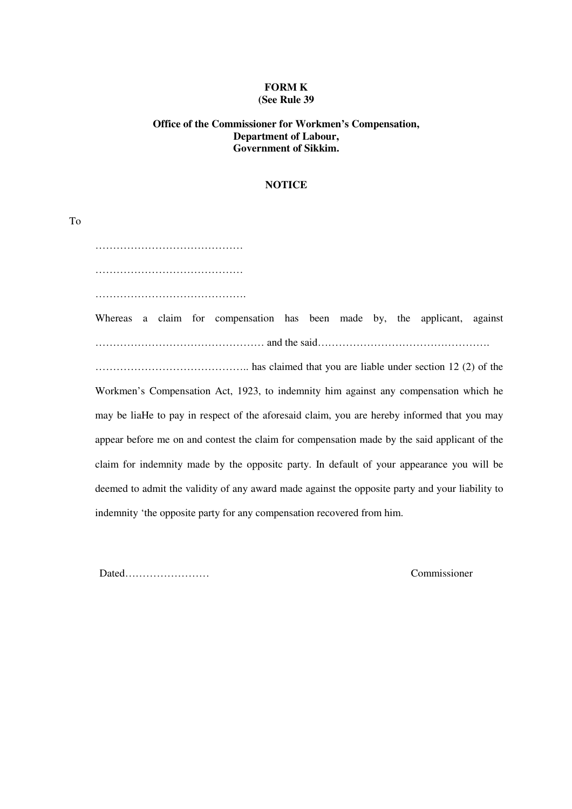#### **FORM K (See Rule 39**

## **Office of the Commissioner for Workmen's Compensation, Department of Labour, Government of Sikkim.**

#### **NOTICE**

 …………………………………… …………………………………… ……………………………………. Whereas a claim for compensation has been made by, the applicant, against ………………………………………… and the said…………………………………………. …………………………………….. has claimed that you are liable under section 12 (2) of the Workmen's Compensation Act, 1923, to indemnity him against any compensation which he may be liaHe to pay in respect of the aforesaid claim, you are hereby informed that you may appear before me on and contest the claim for compensation made by the said applicant of the claim for indemnity made by the oppositc party. In default of your appearance you will be deemed to admit the validity of any award made against the opposite party and your liability to indemnity 'the opposite party for any compensation recovered from him.

Dated…………………… Commissioner

To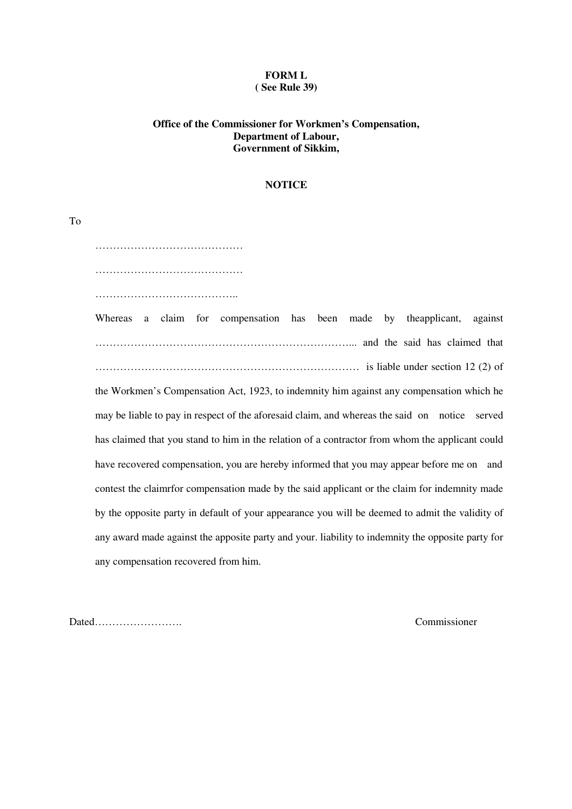#### **FORM L ( See Rule 39)**

## **Office of the Commissioner for Workmen's Compensation, Department of Labour, Government of Sikkim,**

#### **NOTICE**

 …………………………………… …………………………………… ………………………………….. Whereas a claim for compensation has been made by theapplicant, against

………………………………………………………………... and the said has claimed that ………………………………………………………………… is liable under section 12 (2) of the Workmen's Compensation Act, 1923, to indemnity him against any compensation which he may be liable to pay in respect of the aforesaid claim, and whereas the said on notice served has claimed that you stand to him in the relation of a contractor from whom the applicant could have recovered compensation, you are hereby informed that you may appear before me on and contest the claimrfor compensation made by the said applicant or the claim for indemnity made by the opposite party in default of your appearance you will be deemed to admit the validity of any award made against the apposite party and your. liability to indemnity the opposite party for any compensation recovered from him.

Dated……………………. Commissioner

To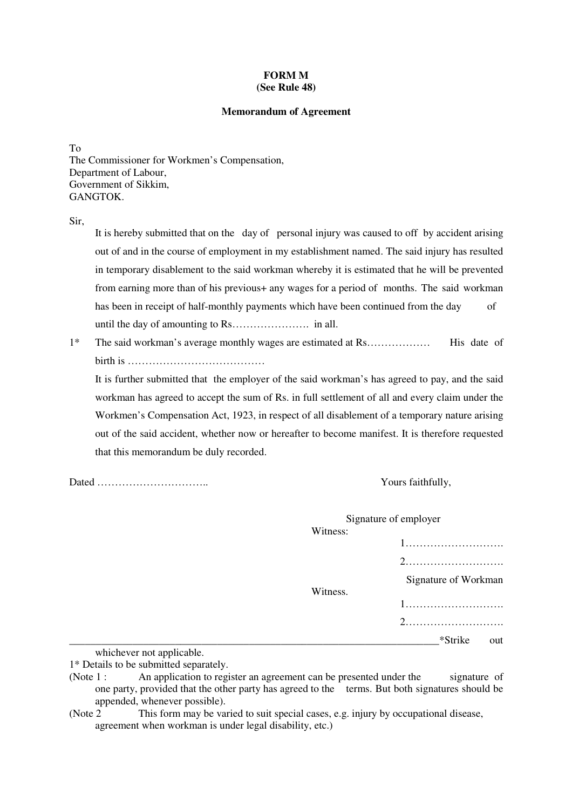#### **FORM M (See Rule 48)**

#### **Memorandum of Agreement**

To The Commissioner for Workmen's Compensation, Department of Labour, Government of Sikkim, **GANGTOK** 

Sir,

 It is hereby submitted that on the day of personal injury was caused to off by accident arising out of and in the course of employment in my establishment named . The said injury has resulted in temporary disablement to the said workman whereby it is estimated that he will be prevented from earning more than of his previous+ any wages for a period of months. The said workman has been in receipt of half-monthly payments which have been continued from the day of until the day of amounting to Rs…………………. in all.

1\* The said workman's average monthly wages are estimated at Rs……………… His date of birth is …………………………………

 It is further submitted that the employer of the said workman's has agreed to pay, and the said workman has agreed to accept the sum of Rs. in full settlement of all and every claim under the Workmen's Compensation Act, 1923, in respect of all disablement of a temporary nature arising out of the said accident, whether now or hereafter to become manifest. It is therefore requested that this memorandum be duly recorded.

Dated ………………………….. Yours faithfully,

|                                                   |          | Signature of employer |
|---------------------------------------------------|----------|-----------------------|
|                                                   | Witness: |                       |
|                                                   |          |                       |
|                                                   |          |                       |
|                                                   |          | Signature of Workman  |
|                                                   | Witness. |                       |
|                                                   |          |                       |
|                                                   |          | *Strike<br>out        |
| المائط ومماثلة ويستورث والمستحدث والمتلوث والمتحد |          |                       |

whichever not applicable.

<sup>1\*</sup> Details to be submitted separately.

<sup>(</sup>Note 1 : An application to register an agreement can be presented under the signature of one party, provided that the other party has agreed to the terms. But both signatures should be appended, whenever possible).

<sup>(</sup>Note 2 This form may be varied to suit special cases, e.g. injury by occupational disease, agreement when workman is under legal disability, etc.)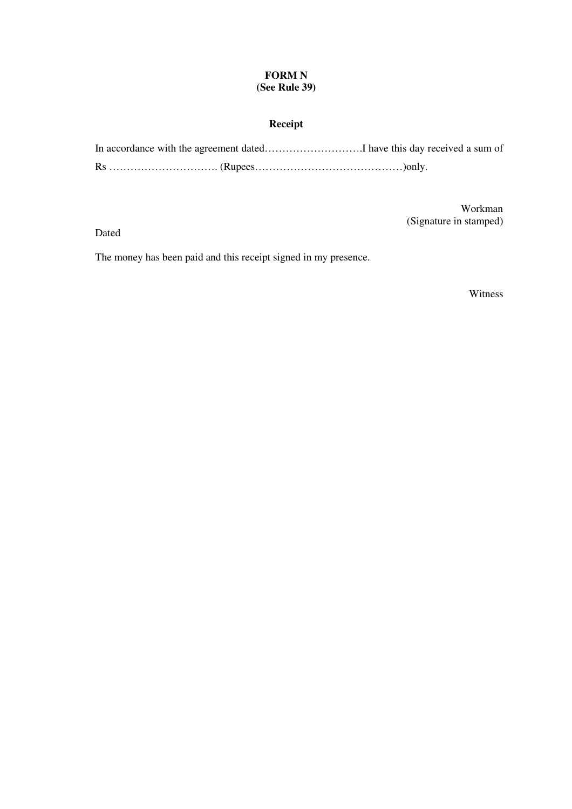## **FORM N (See Rule 39)**

# **Receipt**

Workman (Signature in stamped)

Dated

The money has been paid and this receipt signed in my presence.

Witness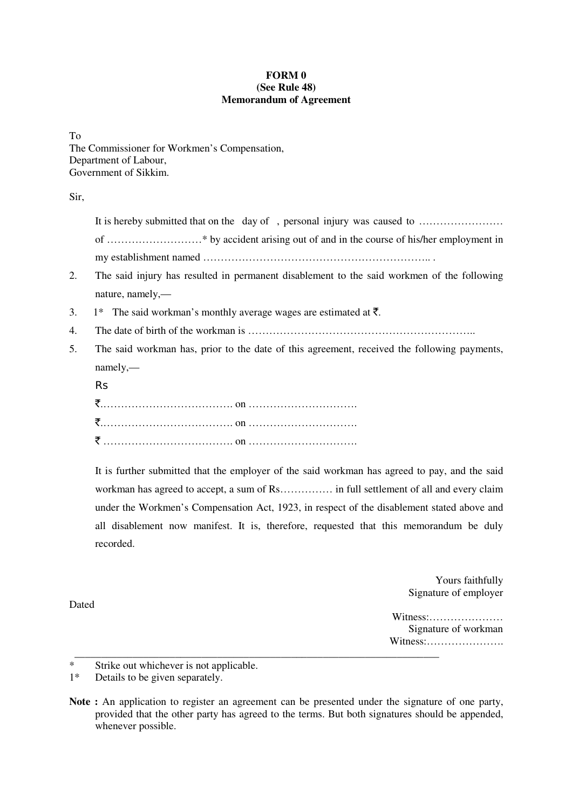## **FORM 0 (See Rule 48) Memorandum of Agreement**

To The Commissioner for Workmen's Compensation, Department of Labour, Government of Sikkim.

Sir,

It is hereby submitted that on the day of, personal injury was caused to …………………… of ………………………\* by accident arising out of and in the course of his/her employment in my establishment named ……………………………………………………….. .

- 2. The said injury has resulted in permanent disablement to the said workmen of the following nature, namely,—
- 3. 1\* The said workman's monthly average wages are estimated at  $\bar{\tau}$ .
- 4. The date of birth of the workman is ………………………………………………………..
- 5. The said workman has, prior to the date of this agreement, received the following payments, namely,—
	- Rs

 It is further submitted that the employer of the said workman has agreed to pay, and the said workman has agreed to accept, a sum of Rs…………… in full settlement of all and every claim under the Workmen's Compensation Act, 1923, in respect of the disablement stated above and all disablement now manifest. It is, therefore, requested that this memorandum be duly recorded.

> Yours faithfully Signature of employer

Witness:………………… Signature of workman Witness:………………….

1\* Details to be given separately.

\_\_\_\_\_\_\_\_\_\_\_\_\_\_\_\_\_\_\_\_\_\_\_\_\_\_\_\_\_\_\_\_\_\_\_\_\_\_\_\_\_\_\_\_\_\_\_\_\_\_\_\_\_\_\_\_\_\_\_\_\_\_\_\_\_\_\_\_\_

Dated

**Note :** An application to register an agreement can be presented under the signature of one party, provided that the other party has agreed to the terms. But both signatures should be appended, whenever possible.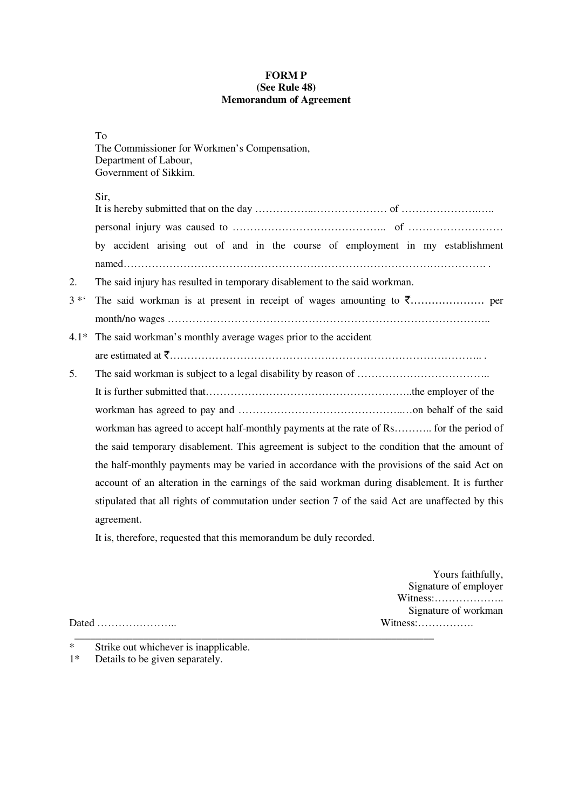## **FORM P (See Rule 48) Memorandum of Agreement**

| I<br>۰.<br>×<br>v |
|-------------------|
|-------------------|

| 10                                           |  |
|----------------------------------------------|--|
| The Commissioner for Workmen's Compensation, |  |
| Department of Labour,                        |  |
| Government of Sikkim.                        |  |
|                                              |  |

# Sir,

|         | by accident arising out of and in the course of employment in my establishment                   |
|---------|--------------------------------------------------------------------------------------------------|
|         |                                                                                                  |
| 2.      | The said injury has resulted in temporary disablement to the said workman.                       |
| $3 * 4$ |                                                                                                  |
|         |                                                                                                  |
| 4.1*    | The said workman's monthly average wages prior to the accident                                   |
|         |                                                                                                  |
| 5.      |                                                                                                  |
|         |                                                                                                  |
|         |                                                                                                  |
|         | workman has agreed to accept half-monthly payments at the rate of Rs for the period of           |
|         | the said temporary disablement. This agreement is subject to the condition that the amount of    |
|         | the half-monthly payments may be varied in accordance with the provisions of the said Act on     |
|         | account of an alteration in the earnings of the said workman during disablement. It is further   |
|         | stipulated that all rights of commutation under section 7 of the said Act are unaffected by this |
|         | agreement.                                                                                       |
|         |                                                                                                  |

It is, therefore, requested that this memorandum be duly recorded.

\_\_\_\_\_\_\_\_\_\_\_\_\_\_\_\_\_\_\_\_\_\_\_\_\_\_\_\_\_\_\_\_\_\_\_\_\_\_\_\_\_\_\_\_\_\_\_\_\_\_\_\_\_\_\_\_\_\_\_\_\_\_\_\_\_\_\_\_

Yours faithfully, Signature of employer Witness:……………….. Signature of workman

Dated ………………….. Witness:…………….

- \* Strike out whichever is inapplicable.<br>1\* Details to be given separately.
- Details to be given separately.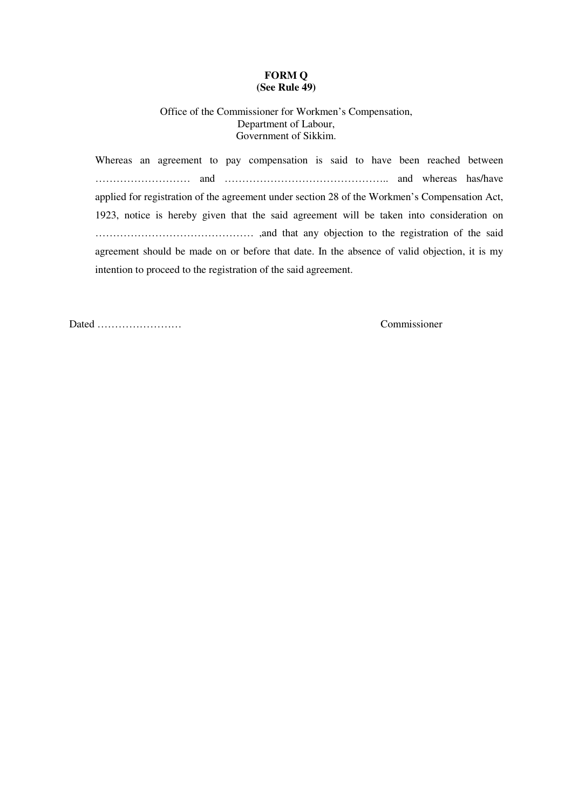#### **FORM Q (See Rule 49)**

## Office of the Commissioner for Workmen's Compensation, Department of Labour, Government of Sikkim.

 Whereas an agreement to pay compensation is said to have been reached between ……………………… and ……………………………………….. and whereas has/have applied for registration of the agreement under section 28 of the Workmen's Compensation Act, 1923, notice is hereby given that the said agreement will be taken into consideration on ……………………………………… ,and that any objection to the registration of the said agreement should be made on or before that date. In the absence of valid objection, it is my intention to proceed to the registration of the said agreement.

Dated …………………… Commissioner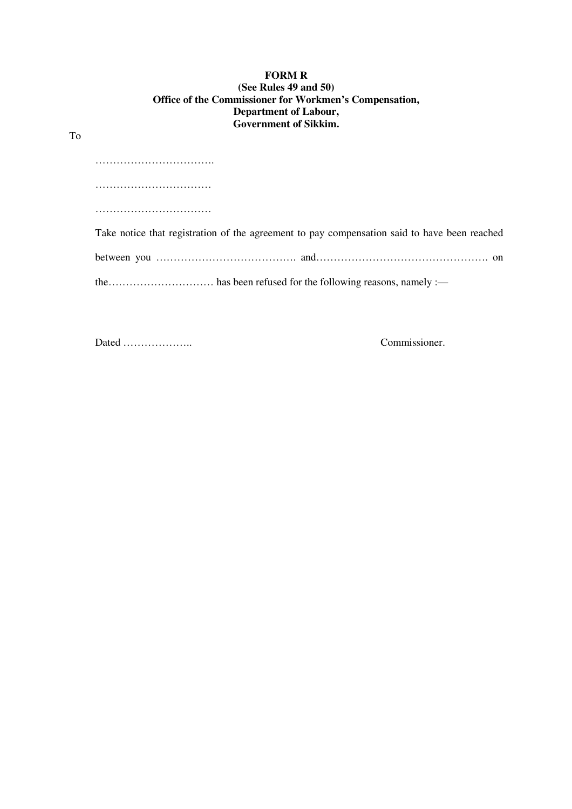## **FORM R (See Rules 49 and 50) Office of the Commissioner for Workmen's Compensation, Department of Labour, Government of Sikkim.**

| . |                                                                                              |
|---|----------------------------------------------------------------------------------------------|
|   |                                                                                              |
|   |                                                                                              |
|   |                                                                                              |
|   | Take notice that registration of the agreement to pay compensation said to have been reached |
|   |                                                                                              |
|   |                                                                                              |
|   |                                                                                              |

Dated ……………….. Commissioner.

To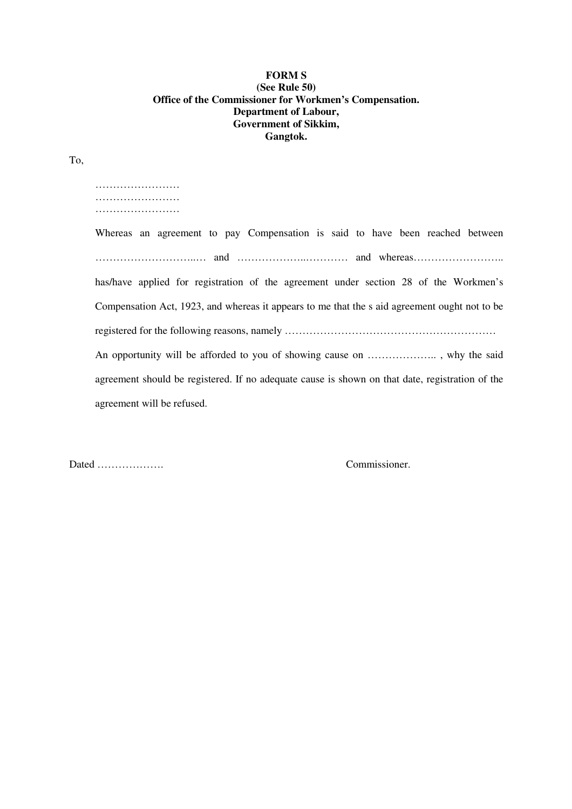## **FORM S (See Rule 50) Office of the Commissioner for Workmen's Compensation. Department of Labour, Government of Sikkim, Gangtok.**

To,

 …………………… …………………………… ………………………

 Whereas an agreement to pay Compensation is said to have been reached between ………………………..… and ………………..………… and whereas…………………….. has/have applied for registration of the agreement under section 28 of the Workmen's Compensation Act, 1923, and whereas it appears to me that the s aid agreement ought not to be registered for the following reasons, namely …………………………………………………… An opportunity will be afforded to you of showing cause on ……………….. , why the said agreement should be registered. If no adequate cause is shown on that date, registration of the agreement will be refused.

Dated ………………. Commissioner.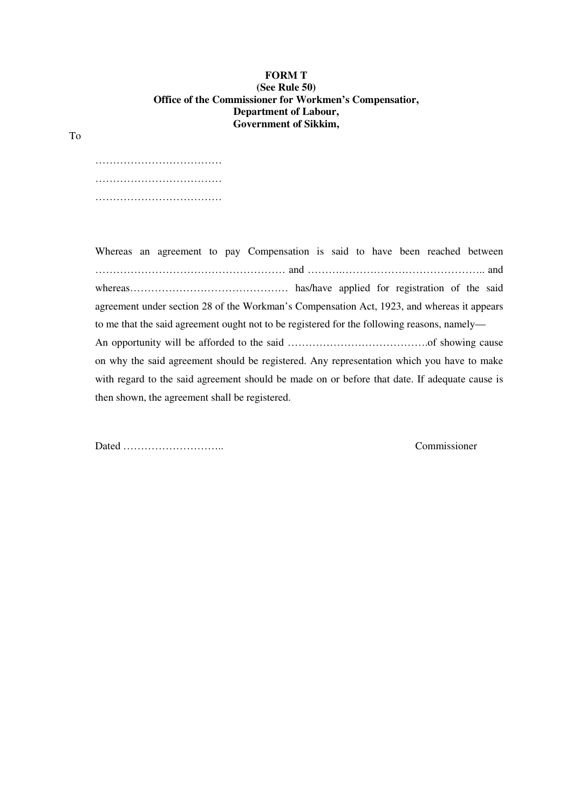#### **FORM T (See Rule 50) Office of the Commissioner for Workmen's Compensatior, Department of Labour, Government of Sikkim,**

 ……………………………… ……………………………… . The contract of the contract of the contract of the contract of the contract of the contract of the contract of the contract of the contract of the contract of the contract of the contract of the contract of the contrac

 Whereas an agreement to pay Compensation is said to have been reached between ……………………………………………… and ……….………………………………….. and whereas……………………………………… has/have applied for registration of the said agreement under section 28 of the Workman's Compensation Act, 1923, and whereas it appears to me that the said agreement ought not to be registered for the following reasons, namely— An opportunity will be afforded to the said ………………………………….of showing cause on why the said agreement should be registered. Any representation which you have to make with regard to the said agreement should be made on or before that date. If adequate cause is then shown, the agreement shall be registered.

Dated ……………………….. Commissioner